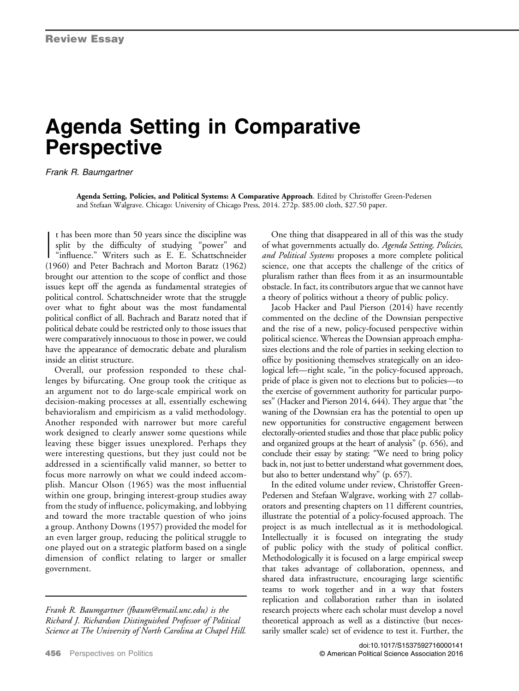## Agenda Setting in Comparative **Perspective**

Frank R. Baumgartner

Agenda Setting, Policies, and Political Systems: A Comparative Approach. Edited by Christoffer Green-Pedersen and Stefaan Walgrave. Chicago: University of Chicago Press, 2014. 272p. \$85.00 cloth, \$27.50 paper.

 $\prod_{\alpha}$ t has been more than 50 years since the discipline was split by the difficulty of studying "power" and "influence." Writers such as E. E. Schattschneider (1960) and Peter Bachrach and Morton Baratz (1962) brought our attention to the scope of conflict and those issues kept off the agenda as fundamental strategies of political control. Schattschneider wrote that the struggle over what to fight about was the most fundamental political conflict of all. Bachrach and Baratz noted that if political debate could be restricted only to those issues that were comparatively innocuous to those in power, we could have the appearance of democratic debate and pluralism inside an elitist structure.

Overall, our profession responded to these challenges by bifurcating. One group took the critique as an argument not to do large-scale empirical work on decision-making processes at all, essentially eschewing behavioralism and empiricism as a valid methodology. Another responded with narrower but more careful work designed to clearly answer some questions while leaving these bigger issues unexplored. Perhaps they were interesting questions, but they just could not be addressed in a scientifically valid manner, so better to focus more narrowly on what we could indeed accomplish. Mancur Olson (1965) was the most influential within one group, bringing interest-group studies away from the study of influence, policymaking, and lobbying and toward the more tractable question of who joins a group. Anthony Downs (1957) provided the model for an even larger group, reducing the political struggle to one played out on a strategic platform based on a single dimension of conflict relating to larger or smaller government.

Frank R. Baumgartner (fbaum@email.unc.edu) is the Richard J. Richardson Distinguished Professor of Political Science at The University of North Carolina at Chapel Hill.

One thing that disappeared in all of this was the study of what governments actually do. Agenda Setting, Policies, and Political Systems proposes a more complete political science, one that accepts the challenge of the critics of pluralism rather than flees from it as an insurmountable obstacle. In fact, its contributors argue that we cannot have a theory of politics without a theory of public policy.

Jacob Hacker and Paul Pierson (2014) have recently commented on the decline of the Downsian perspective and the rise of a new, policy-focused perspective within political science. Whereas the Downsian approach emphasizes elections and the role of parties in seeking election to office by positioning themselves strategically on an ideological left—right scale, "in the policy-focused approach, pride of place is given not to elections but to policies—to the exercise of government authority for particular purposes" (Hacker and Pierson 2014, 644). They argue that "the waning of the Downsian era has the potential to open up new opportunities for constructive engagement between electorally-oriented studies and those that place public policy and organized groups at the heart of analysis" (p. 656), and conclude their essay by stating: "We need to bring policy back in, not just to better understand what government does, but also to better understand why" (p. 657).

In the edited volume under review, Christoffer Green-Pedersen and Stefaan Walgrave, working with 27 collaborators and presenting chapters on 11 different countries, illustrate the potential of a policy-focused approach. The project is as much intellectual as it is methodological. Intellectually it is focused on integrating the study of public policy with the study of political conflict. Methodologically it is focused on a large empirical sweep that takes advantage of collaboration, openness, and shared data infrastructure, encouraging large scientific teams to work together and in a way that fosters replication and collaboration rather than in isolated research projects where each scholar must develop a novel theoretical approach as well as a distinctive (but necessarily smaller scale) set of evidence to test it. Further, the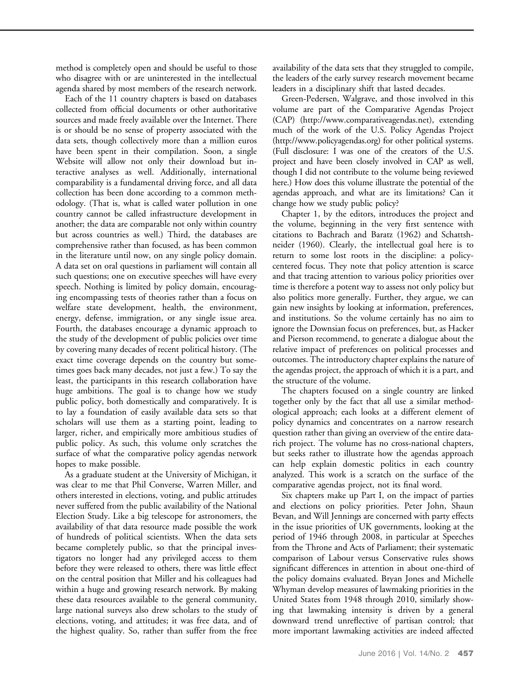method is completely open and should be useful to those who disagree with or are uninterested in the intellectual agenda shared by most members of the research network.

Each of the 11 country chapters is based on databases collected from official documents or other authoritative sources and made freely available over the Internet. There is or should be no sense of property associated with the data sets, though collectively more than a million euros have been spent in their compilation. Soon, a single Website will allow not only their download but interactive analyses as well. Additionally, international comparability is a fundamental driving force, and all data collection has been done according to a common methodology. (That is, what is called water pollution in one country cannot be called infrastructure development in another; the data are comparable not only within country but across countries as well.) Third, the databases are comprehensive rather than focused, as has been common in the literature until now, on any single policy domain. A data set on oral questions in parliament will contain all such questions; one on executive speeches will have every speech. Nothing is limited by policy domain, encouraging encompassing tests of theories rather than a focus on welfare state development, health, the environment, energy, defense, immigration, or any single issue area. Fourth, the databases encourage a dynamic approach to the study of the development of public policies over time by covering many decades of recent political history. (The exact time coverage depends on the country but sometimes goes back many decades, not just a few.) To say the least, the participants in this research collaboration have huge ambitions. The goal is to change how we study public policy, both domestically and comparatively. It is to lay a foundation of easily available data sets so that scholars will use them as a starting point, leading to larger, richer, and empirically more ambitious studies of public policy. As such, this volume only scratches the surface of what the comparative policy agendas network hopes to make possible.

As a graduate student at the University of Michigan, it was clear to me that Phil Converse, Warren Miller, and others interested in elections, voting, and public attitudes never suffered from the public availability of the National Election Study. Like a big telescope for astronomers, the availability of that data resource made possible the work of hundreds of political scientists. When the data sets became completely public, so that the principal investigators no longer had any privileged access to them before they were released to others, there was little effect on the central position that Miller and his colleagues had within a huge and growing research network. By making these data resources available to the general community, large national surveys also drew scholars to the study of elections, voting, and attitudes; it was free data, and of the highest quality. So, rather than suffer from the free

availability of the data sets that they struggled to compile, the leaders of the early survey research movement became leaders in a disciplinary shift that lasted decades.

Green-Pedersen, Walgrave, and those involved in this volume are part of the Comparative Agendas Project (CAP) (http://www.comparativeagendas.net), extending much of the work of the U.S. Policy Agendas Project (http://www.policyagendas.org) for other political systems. (Full disclosure: I was one of the creators of the U.S. project and have been closely involved in CAP as well, though I did not contribute to the volume being reviewed here.) How does this volume illustrate the potential of the agendas approach, and what are its limitations? Can it change how we study public policy?

Chapter 1, by the editors, introduces the project and the volume, beginning in the very first sentence with citations to Bachrach and Baratz (1962) and Schattshneider (1960). Clearly, the intellectual goal here is to return to some lost roots in the discipline: a policycentered focus. They note that policy attention is scarce and that tracing attention to various policy priorities over time is therefore a potent way to assess not only policy but also politics more generally. Further, they argue, we can gain new insights by looking at information, preferences, and institutions. So the volume certainly has no aim to ignore the Downsian focus on preferences, but, as Hacker and Pierson recommend, to generate a dialogue about the relative impact of preferences on political processes and outcomes. The introductory chapter explains the nature of the agendas project, the approach of which it is a part, and the structure of the volume.

The chapters focused on a single country are linked together only by the fact that all use a similar methodological approach; each looks at a different element of policy dynamics and concentrates on a narrow research question rather than giving an overview of the entire datarich project. The volume has no cross-national chapters, but seeks rather to illustrate how the agendas approach can help explain domestic politics in each country analyzed. This work is a scratch on the surface of the comparative agendas project, not its final word.

Six chapters make up Part I, on the impact of parties and elections on policy priorities. Peter John, Shaun Bevan, and Will Jennings are concerned with party effects in the issue priorities of UK governments, looking at the period of 1946 through 2008, in particular at Speeches from the Throne and Acts of Parliament; their systematic comparison of Labour versus Conservative rules shows significant differences in attention in about one-third of the policy domains evaluated. Bryan Jones and Michelle Whyman develop measures of lawmaking priorities in the United States from 1948 through 2010, similarly showing that lawmaking intensity is driven by a general downward trend unreflective of partisan control; that more important lawmaking activities are indeed affected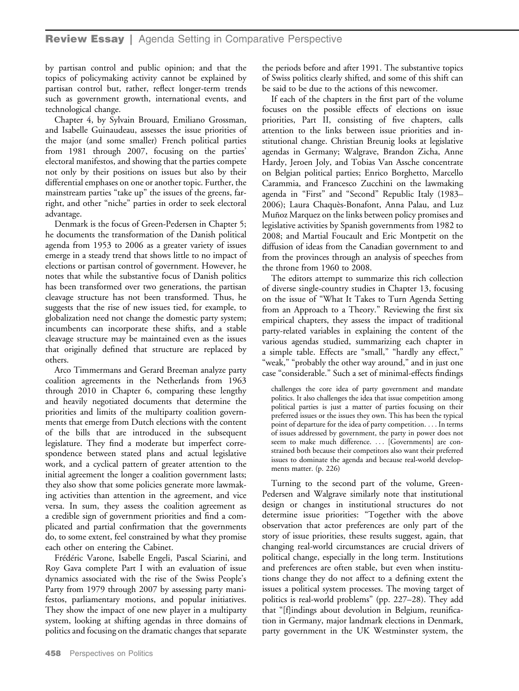by partisan control and public opinion; and that the topics of policymaking activity cannot be explained by partisan control but, rather, reflect longer-term trends such as government growth, international events, and technological change.

Chapter 4, by Sylvain Brouard, Emiliano Grossman, and Isabelle Guinaudeau, assesses the issue priorities of the major (and some smaller) French political parties from 1981 through 2007, focusing on the parties' electoral manifestos, and showing that the parties compete not only by their positions on issues but also by their differential emphases on one or another topic. Further, the mainstream parties "take up" the issues of the greens, farright, and other "niche" parties in order to seek electoral advantage.

Denmark is the focus of Green-Pedersen in Chapter 5; he documents the transformation of the Danish political agenda from 1953 to 2006 as a greater variety of issues emerge in a steady trend that shows little to no impact of elections or partisan control of government. However, he notes that while the substantive focus of Danish politics has been transformed over two generations, the partisan cleavage structure has not been transformed. Thus, he suggests that the rise of new issues tied, for example, to globalization need not change the domestic party system; incumbents can incorporate these shifts, and a stable cleavage structure may be maintained even as the issues that originally defined that structure are replaced by others.

Arco Timmermans and Gerard Breeman analyze party coalition agreements in the Netherlands from 1963 through 2010 in Chapter 6, comparing these lengthy and heavily negotiated documents that determine the priorities and limits of the multiparty coalition governments that emerge from Dutch elections with the content of the bills that are introduced in the subsequent legislature. They find a moderate but imperfect correspondence between stated plans and actual legislative work, and a cyclical pattern of greater attention to the initial agreement the longer a coalition government lasts; they also show that some policies generate more lawmaking activities than attention in the agreement, and vice versa. In sum, they assess the coalition agreement as a credible sign of government priorities and find a complicated and partial confirmation that the governments do, to some extent, feel constrained by what they promise each other on entering the Cabinet.

Frédéric Varone, Isabelle Engeli, Pascal Sciarini, and Roy Gava complete Part I with an evaluation of issue dynamics associated with the rise of the Swiss People's Party from 1979 through 2007 by assessing party manifestos, parliamentary motions, and popular initiatives. They show the impact of one new player in a multiparty system, looking at shifting agendas in three domains of politics and focusing on the dramatic changes that separate

458 Perspectives on Politics

the periods before and after 1991. The substantive topics of Swiss politics clearly shifted, and some of this shift can be said to be due to the actions of this newcomer.

If each of the chapters in the first part of the volume focuses on the possible effects of elections on issue priorities, Part II, consisting of five chapters, calls attention to the links between issue priorities and institutional change. Christian Breunig looks at legislative agendas in Germany; Walgrave, Brandon Zicha, Anne Hardy, Jeroen Joly, and Tobias Van Assche concentrate on Belgian political parties; Enrico Borghetto, Marcello Carammia, and Francesco Zucchini on the lawmaking agenda in "First" and "Second" Republic Italy (1983– 2006); Laura Chaquès-Bonafont, Anna Palau, and Luz Muñoz Marquez on the links between policy promises and legislative activities by Spanish governments from 1982 to 2008; and Martial Foucault and Eric Montpetit on the diffusion of ideas from the Canadian government to and from the provinces through an analysis of speeches from the throne from 1960 to 2008.

The editors attempt to summarize this rich collection of diverse single-country studies in Chapter 13, focusing on the issue of "What It Takes to Turn Agenda Setting from an Approach to a Theory." Reviewing the first six empirical chapters, they assess the impact of traditional party-related variables in explaining the content of the various agendas studied, summarizing each chapter in a simple table. Effects are "small," "hardly any effect," "weak," "probably the other way around," and in just one case "considerable." Such a set of minimal-effects findings

challenges the core idea of party government and mandate politics. It also challenges the idea that issue competition among political parties is just a matter of parties focusing on their preferred issues or the issues they own. This has been the typical point of departure for the idea of party competition. ... In terms of issues addressed by government, the party in power does not seem to make much difference. ... [Governments] are constrained both because their competitors also want their preferred issues to dominate the agenda and because real-world developments matter. (p. 226)

Turning to the second part of the volume, Green-Pedersen and Walgrave similarly note that institutional design or changes in institutional structures do not determine issue priorities: "Together with the above observation that actor preferences are only part of the story of issue priorities, these results suggest, again, that changing real-world circumstances are crucial drivers of political change, especially in the long term. Institutions and preferences are often stable, but even when institutions change they do not affect to a defining extent the issues a political system processes. The moving target of politics is real-world problems" (pp. 227–28). They add that "[f]indings about devolution in Belgium, reunification in Germany, major landmark elections in Denmark, party government in the UK Westminster system, the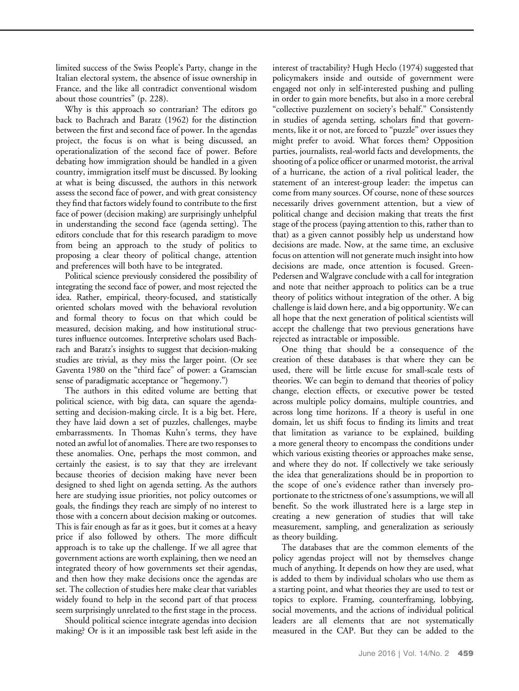limited success of the Swiss People's Party, change in the Italian electoral system, the absence of issue ownership in France, and the like all contradict conventional wisdom about those countries" (p. 228).

Why is this approach so contrarian? The editors go back to Bachrach and Baratz (1962) for the distinction between the first and second face of power. In the agendas project, the focus is on what is being discussed, an operationalization of the second face of power. Before debating how immigration should be handled in a given country, immigration itself must be discussed. By looking at what is being discussed, the authors in this network assess the second face of power, and with great consistency they find that factors widely found to contribute to the first face of power (decision making) are surprisingly unhelpful in understanding the second face (agenda setting). The editors conclude that for this research paradigm to move from being an approach to the study of politics to proposing a clear theory of political change, attention and preferences will both have to be integrated.

Political science previously considered the possibility of integrating the second face of power, and most rejected the idea. Rather, empirical, theory-focused, and statistically oriented scholars moved with the behavioral revolution and formal theory to focus on that which could be measured, decision making, and how institutional structures influence outcomes. Interpretive scholars used Bachrach and Baratz's insights to suggest that decision-making studies are trivial, as they miss the larger point. (Or see Gaventa 1980 on the "third face" of power: a Gramscian sense of paradigmatic acceptance or "hegemony.")

The authors in this edited volume are betting that political science, with big data, can square the agendasetting and decision-making circle. It is a big bet. Here, they have laid down a set of puzzles, challenges, maybe embarrassments. In Thomas Kuhn's terms, they have noted an awful lot of anomalies. There are two responses to these anomalies. One, perhaps the most common, and certainly the easiest, is to say that they are irrelevant because theories of decision making have never been designed to shed light on agenda setting. As the authors here are studying issue priorities, not policy outcomes or goals, the findings they reach are simply of no interest to those with a concern about decision making or outcomes. This is fair enough as far as it goes, but it comes at a heavy price if also followed by others. The more difficult approach is to take up the challenge. If we all agree that government actions are worth explaining, then we need an integrated theory of how governments set their agendas, and then how they make decisions once the agendas are set. The collection of studies here make clear that variables widely found to help in the second part of that process seem surprisingly unrelated to the first stage in the process.

Should political science integrate agendas into decision making? Or is it an impossible task best left aside in the

interest of tractability? Hugh Heclo (1974) suggested that policymakers inside and outside of government were engaged not only in self-interested pushing and pulling in order to gain more benefits, but also in a more cerebral "collective puzzlement on society's behalf." Consistently in studies of agenda setting, scholars find that governments, like it or not, are forced to "puzzle" over issues they might prefer to avoid. What forces them? Opposition parties, journalists, real-world facts and developments, the shooting of a police officer or unarmed motorist, the arrival of a hurricane, the action of a rival political leader, the statement of an interest-group leader: the impetus can come from many sources. Of course, none of these sources necessarily drives government attention, but a view of political change and decision making that treats the first stage of the process (paying attention to this, rather than to that) as a given cannot possibly help us understand how decisions are made. Now, at the same time, an exclusive focus on attention will not generate much insight into how decisions are made, once attention is focused. Green-Pedersen and Walgrave conclude with a call for integration and note that neither approach to politics can be a true theory of politics without integration of the other. A big challenge is laid down here, and a big opportunity. We can all hope that the next generation of political scientists will accept the challenge that two previous generations have rejected as intractable or impossible.

One thing that should be a consequence of the creation of these databases is that where they can be used, there will be little excuse for small-scale tests of theories. We can begin to demand that theories of policy change, election effects, or executive power be tested across multiple policy domains, multiple countries, and across long time horizons. If a theory is useful in one domain, let us shift focus to finding its limits and treat that limitation as variance to be explained, building a more general theory to encompass the conditions under which various existing theories or approaches make sense, and where they do not. If collectively we take seriously the idea that generalizations should be in proportion to the scope of one's evidence rather than inversely proportionate to the strictness of one's assumptions, we will all benefit. So the work illustrated here is a large step in creating a new generation of studies that will take measurement, sampling, and generalization as seriously as theory building.

The databases that are the common elements of the policy agendas project will not by themselves change much of anything. It depends on how they are used, what is added to them by individual scholars who use them as a starting point, and what theories they are used to test or topics to explore. Framing, counterframing, lobbying, social movements, and the actions of individual political leaders are all elements that are not systematically measured in the CAP. But they can be added to the